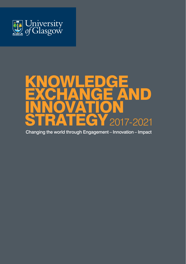

## KNOWLEDGE EXCHANGE AND INNOVATION 2017-2021

Changing the world through Engagement – Innovation – Impact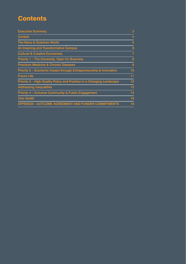## **Contents**

| <b>Executive Summary</b>                                              | з  |
|-----------------------------------------------------------------------|----|
| <b>Context</b>                                                        | 4  |
| The Nano & Quantum World                                              | 5  |
| An Inspiring and Transformative Campus                                | 6  |
| <b>Cultural &amp; Creative Economies</b>                              | 7  |
| Priority 1 - The University, Open for Business                        | 8  |
| <b>Precision Medicine &amp; Chronic Diseases</b>                      | 8  |
| Priority 2 – Economic Impact through Entrepreneurship & Innovation    | 10 |
| <b>Future Life</b>                                                    | 11 |
| Priority 3 - High Quality Policy and Practice in a Changing Landscape | 12 |
| <b>Addressing Inequalities</b>                                        | 13 |
| Priority 4 - Inclusive Community & Public Engagement                  | 14 |
| <b>One Health</b>                                                     | 15 |
| <b>APPENDIX - OUTCOME AGREEMENT AND FUNDER COMMITMENTS</b>            | 16 |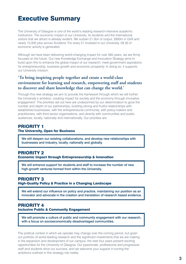## Executive Summary

The University of Glasgow is one of the world's leading research-intensive academic institutions. The economic impact of our University, its students and the international visitors that we attract is already evident. We sustain £1.5bn of output, £800m in GVA and nearly 15,000 jobs across Scotland. For every £1 invested in our University, £8.30 of economic activity is generated.

Although we have been delivering world-changing impact for over 565 years, we are firmly focused on the future. Our new Knowledge Exchange and Innovation Strategy aims to build upon this to enhance the global impact of our research, meet government aspirations for entrepreneurship, business growth and economic prosperity. In doing so, it supports our University mission:

### **'To bring inspiring people together and create a world-class environment for learning and research, empowering staff and students to discover and share knowledge that can change the world.'**

Through this new strategy we aim to provide the framework through which we will further the University's ambition, creating impact for society and the economy through *innovative engagement.* The priorities set out here are underpinned by our determination to grow the number and depth of our partnerships, building strong and fruitful relationships with established businesses, with the entrepreneurial community, with policy-makers and practitioners, with third sector organisations, and directly with communities and public audiences, locally, nationally and internationally. Our priorities are:

### PRIORITY 1 The University, Open for Business

We will deepen our existing collaborations, and develop new relationships with businesses and industry, locally, nationally and globally.

## PRIORITY 2

Economic Impact through Entrepreneurship & Innovation

We will enhance support for students and staff to increase the number of new high-growth ventures formed from within the University.

### PRIORITY 3 High-Quality Policy & Practice in a Changing Landscape

 We will extend our influence on policy and practice, maintaining our position as an innovator and advocate in the creation and translation of research based evidence.

### PRIORITY 4 Inclusive Public & Community Engagement

We will promote a culture of public and community engagement with our research, with a focus on socioeconomically disadvantaged communities.

The political context in which we operate may change over the coming period, but given our portfolio of world-leading research and the significant investments that we are making in the expansion and development of our campus, the next four years present exciting opportunities for the University of Glasgow. Our passionate, professional and progressive staff and students drive our success, and we welcome your support in turning the ambitions outlined in this strategy into reality.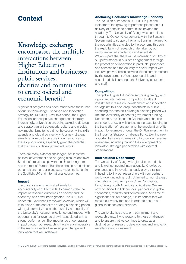## **Context**

**Knowledge exchange** encompasses the multiple interactions between Higher Education Institutions and businesses, public services, charities and communities to create societal and economic benefit.<sup>1</sup>

Significant progress has been made since the launch of our first Knowledge Exchange and Innovation Strategy (2013–2016). Over this period, the Higher Education landscape has changed considerably. Increasingly, universities are being asked to develop and support an entrepreneurial culture and provide new mechanisms to help drive the economy, the skills agenda and global connectivity. Our new strategy aims to enable us to be agile in our responses to these opportunities, especially given the potential that the campus development will unlock.

There are many external challenges, not least the political environment and on-going discussions over Scotland's relationships with the United Kingdom and the rest of Europe. But these should not diminish our ambitions nor our place as a major institution in the Scottish, UK and international economies.

#### Impact

The drive of governments at all levels for accountability of public funds, to demonstrate the impact of research outcomes on society and the economy, has never been greater. The REF2021 Research Excellence Framework exercise, which will take place at the end of the strategic planning period, will again formally assess the quantity and quality of the University's research excellence and impact, with opportunities for revenue growth associated with a strong performance. The importance of generating impact through our research is therefore an imperative in the many aspects of knowledge exchange and innovation that we undertake.

#### Anchoring Scotland's Knowledge Economy

The inclusion of impact in REF2021 is just one indicator of the growing importance placed on our delivery of benefits to communities beyond the academy. The University of Glasgow is committed through its Outcome Agreements with the Scottish Government to support their ambitions in maximising the opportunities afforded to the economy through the exploitation of research undertaken by our world-renowned academics and scientists. We anticipate that there will be increasing scrutiny of our performance in business engagement through the promotion of innovation in products, processes and services and the delivery of social impact with inclusive growth. These activities will be complemented by the development of entrepreneurship and associated skills amongst the University's students and staff.

#### Competition

The global Higher Education sector is growing, with significant international competition to attract investment in research, development and innovation. Set against this backdrop, constraints in public spending over the next strategic planning period will limit the availability of central government funding. Despite this, the Research Councils and charities continue to show a willingness to increase funding for the translation of research and the acceleration of its impact, for example through the £4.7bn investment in the Industrial Strategy Challenge Fund. Exciting new opportunities are also emerging to grow our revenue elsewhere, including through the development of innovative strategic partnerships with external organisations.

#### International Opportunity

The University of Glasgow is global in its outlook and is well connected internationally. Knowledge exchange and innovation already play a vital part in helping to link our researchers with our partners worldwide - including, but not limited to, our strategic international partnerships in China, Singapore, Hong Kong, North America and Australia. We are now positioned to link our local partners into global economies, markets and communities. At a time of significant political change, it is important that we remain outwardly focused in order to ensure our global influence and relevance.

The University has the talent, commitment and research capability to respond to these challenges and to ensure that we continue to grow as a destination for research, development and innovation excellence and investment.

<sup>1</sup>HEFCE (August 2016). Higher Education Innovation Funding: Institutional five-year knowledge exchange strategies (Policy and request for institutional strategies).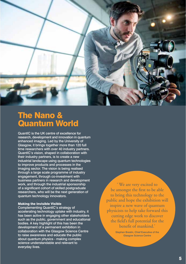

## The Nano & Quantum World

QuantIC is the UK centre of excellence for research, development and innovation in quantum enhanced imaging. Led by the University of Glasgow, it brings together more than 120 full time researchers with over 40 industry partners. QuantIC's vision, shaped in collaboration with their industry partners, is to create a new industrial landscape using quantum technologies to improve products and processes in the imaging sector. The vision is being realised through a large scale programme of industry engagement, through co-investment with business partners in research and development work, and through the industrial sponsorship of a significant cohort of skilled postgraduate researchers, who will be the next generation of quantum technology innovators.

#### Making the Invisible Visible

Complementing QuantIC's strategy of accelerating technology uptake with industry, it has been active in engaging other stakeholders such as the public, government and educational bodies. A key highlight of this has been the development of a permanent exhibition in collaboration with the Glasgow Science Centre to raise awareness and educate the public about quantum physics - making complex science understandable and relevant to everyday lives.

' We are very excited to be amongst the first to be able to bring this technology to the public and hope the exhibition will inspire a new wave of quantum physicists to help take forward this cutting edge work to discover the field's full potential for the benefit of mankind.'

> Stephen Breslin, Chief Executive of the Glasgow Science Centre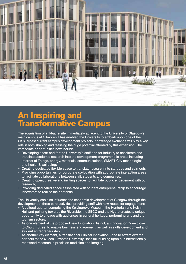

An Inspiring and Transformative Campus

The acquisition of a 14-acre site immediately adjacent to the University of Glasgow's main campus at Gilmorehill has enabled the University to embark upon one of the UK's largest current campus development projects. Knowledge exchange will play a key role in both shaping and realising the huge potential afforded by this expansion. The immediate opportunities now include:

- Developing a test-bed for the University's staff and for industry to accelerate and translate academic research into the development programme in areas including Internet of Things, energy, materials, communications, SMART City technologies and health & wellbeing;
- • Creating dedicated flexible space to translate research into start-ups and spin-outs;
- Providing opportunities for corporate co-location with appropriate interaction areas to facilitate collaborations between staff, students and companies;
- Creating open, creative and inviting spaces to facilitate public engagement with our research;
- Providing dedicated space associated with student entrepreneurship to encourage innovators to realise their potential.

The University can also influence the economic development of Glasgow through the development of three core activities, providing staff with new routes for engagement:

- A cultural quarter comprising the Kelvingrove Museum, the Hunterian and Kelvin Hall and pointing towards the Riverside, the SECC and the Hydro creates a unique opportunity to engage with audiences in cultural heritage, performing arts and the tourism sectors;
- As one element of the proposed new Innovation District, an Innovation Zone close to Church Street to enable business engagement, as well as skills development and student entrepreneurship;
- As another key element, a translational Clinical Innovation Zone to attract external partners to the Queen Elizabeth University Hospital, building upon our internationally renowned research in precision medicine and imaging.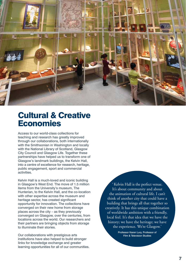

## Cultural & Creative Economies

Access to our world-class collections for teaching and research has greatly improved through our collaborations, both internationally with the Smithsonian in Washington and locally with the National Library of Scotland, Glasgow City Council and Glasgow Life. Together these partnerships have helped us to transform one of Glasgow's landmark buildings, the Kelvin Hall, into a centre of excellence for research, heritage, public engagement, sport and commercial activities.

Kelvin Hall is a much-loved and iconic building in Glasgow's West End. The move of 1.5 million items from the University's museum, The Hunterian, to the Kelvin Hall, and the co-location with other expertise across the museum and heritage sector, has created significant opportunity for innovation. The collections have converged on their new home from storage places across the city – as they previously converged on Glasgow, over the centuries, from locations across the world. Our researchers and their partners are bringing objects from storage to illuminate their stories.

Our collaborations with prestigious arts institutions have also helped to build stronger links for knowledge exchange and greater learning opportunities for all of our communities.

Kelvin Hall is the perfect venue. It's about community and about the animation of cultural life. I can't think of another city that could have a building that brings all that together so creatively. It has this unique combination of worldwide ambition with a friendly, local feel. It's that idea that we have the history; we have the heritage; we have the experience. We're Glasgow.'

> Professor Karen Lury, Professor of Film & Television Studies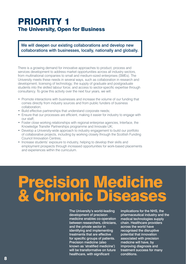## PRIORITY 1 The University, Open for Business

We will deepen our existing collaborations and develop new collaborations with businesses, locally, nationally and globally.

There is a growing demand for innovative approaches to product, process and services development to address market opportunities across all industry sectors, from multinational companies to small and medium-sized enterprises (SMEs). The University meets these needs in several ways, such as collaboration in research and development; licensing of technology; the supply of graduate and postgraduate students into the skilled labour force; and access to sector-specific expertise through consultancy. To grow this activity over the next four years, we will:

- Promote interactions with businesses and increase the volume of our funding that comes directly from industry sources and from public funders of business collaboration;
- Build effective partnerships that understand corporate needs;
- Ensure that our processes are efficient, making it easier for industry to engage with our staff;
- Foster close working relationships with regional enterprise agencies, Interface, the Knowledge Transfer Partnerships programme and Innovate UK;
- Develop a University-wide approach to industry engagement to build our portfolio of collaborative projects, including by working closely through the Scottish Funding Council Innovation Centres;
- Increase students' exposure to industry, helping to develop their skills and employment prospects through increased opportunities for work-based placements and experiences within the curriculum.

## ision Medic ronic

The University's world-leading development of precision medicine enables co-operation between researchers, clinicians, and the private sector in identifying and implementing treatments that are effective for specific groups of patients. Precision medicine (also known as 'stratified medicine') will be transformative on future healthcare, with significant

implications for the NHS, the pharmaceutical industry and the medical technologies supply chain. Healthcare providers across the world have recognised the disruptive potential that innovation associated with precision medicine will have, by improving diagnosis and treatment success for many conditions.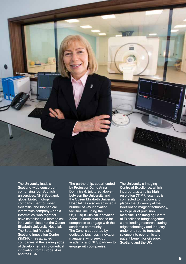

The University leads a Scotland-wide consortium comprising four Scottish universities, NHS Scotland, global biotechnology company Thermo Fisher Scientific, and biomedical informatics company Aridhia Informatics, who together have established a biomedical innovation cluster at the Queen Elizabeth University Hospital. The Stratified Medicine Scotland Innovation Centre (SMS-IC) has attracted companies at the leading edge of developments in biomedical innovation from Europe, Asia and the USA.

The partnership, spearheaded by Professor Dame Anna Dominiczak (pictured above), between the University and the Queen Elizabeth University Hospital has also established a number of key innovation facilities, including the 22,000sq ft Clinical Innovation Zone – a dedicated space for companies to engage with the academic community. The Zone is supported by dedicated business innovation managers, who seek out academic and NHS partners to engage with companies.

The University's Imaging Centre of Excellence, which incorporates an ultra-high resolution 7T MRI scanner, is connected to the Zone and places the University at the forefront of imaging technology, a key pillar of precision medicine. The Imaging Centre of Excellence brings together world-leading research, cutting edge technology and industry under one roof to translate science into economic and patient benefit for Glasgow, Scotland and the UK.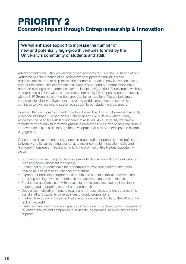## PRIORITY 2 Economic Impact through Entrepreneurship & Innovation

We will enhance support to increase the number of new and potentially high-growth ventures formed by the University's community of students and staff.

Advancement of the UK's knowledge-based economy requires the up-skilling of our workforce and the creation of an ecosystem of support for individuals and organisations in order to help realise the economic impact of new innovation arising from our research. This ecosystem is already evolving and our partnerships have delivered exciting new enterprises over the last planning period. For example, we have strengthened our links with the investment community by deepening our partnership with both IP Group plc and the Epidarex Capital venture fund. We are building a strong relationship with Santander, one of the world's major enterprises, which continues to give active and sustained support to our student entrepreneurs.

However, there is more to do and more to achieve. The Scottish Government recently published its Phase 1 Report on the Enterprise and Skills Review which clearly articulates the need for a skilled workforce at all levels. As a University we have a responsibility not only to maximise graduate employability but also to help continuous improvement in staff skills through the development of new partnerships and external engagement.

Our campus development offers a once-in-a-generation opportunity to re-define the University and its surrounding district, as a major centre for innovation, skills and high-growth business in Scotland. To fulfil the promise of this historic opportunity, we will:

- Support staff in securing translational grants to de-risk innovations to investor or licensing/co-development readiness;
- Ensure that all students have the opportunity to experience entrepreneurship training as part of their educational programme;
- Expand our dedicated support for students and staff to establish new ventures, providing training, events, mentorship and access to space and finance;
- Provide our academic staff with access to professional development training in nurturing and supporting student entrepreneurship;
- Deepen our network of mentors (e.g. alumni, industrialists and entrepreneurs) to assist staff and students develop investor-ready propositions;
- Further develop our engagement with venture groups in Scotland, the UK and the rest of the world;
- Establish dedicated innovation spaces within the campus development programme for entrepreneurs and companies to co-locate, co-produce, network and access support.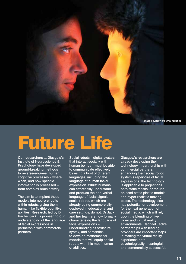

# Future Life

Our researchers at Glasgow's Institute of Neuroscience & Psychology have developed ground-breaking methods to reverse-engineer human cognitive processes – where, when, and how specific information is processed – from complex brain activity.

The aim is to implant these models into neuro-circuits within robots, giving them human-like flexible cognitive abilities. Research, led by Dr Rachel Jack, is pioneering our understanding of the language of facial expressions in partnership with commercial partners.

Social robots – digital avatars that interact socially with human beings – must be able to communicate effectively by using a host of different languages, including the language of human facial expression. Whilst humans can effortlessly understand and produce the non-verbal language of facial signals, social robots, which are already being commercially deployed in educational and care settings, do not. Dr Jack and her team are now formally characterising the language of facial expressions – understanding its structure, syntax, and semantics – to develop mathematical models that will equip social robots with this most human of abilities.

Glasgow's researchers are already developing their technology in partnership with commercial partners, enhancing their social robot system's repertoire of facial expressions; the technology is applicable to projections onto static masks, or for use on semi-static plastic models, and hyper-realistic moving bases. The technology also has potential for development for the next generation of social media, which will rely upon the blending of live video and virtual reality environments. Rachael Jack's partnerships with leading providers are important steps in making the virtual reality experience both psychologically meaningful, and commercially successful.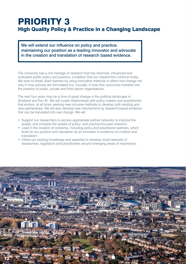## PRIORITY 3 High Quality Policy & Practice in a Changing Landscape

We will extend our influence on policy and practice, maintaining our position as a leading innovator and advocate in the creation and translation of research based evidence.

The University has a rich heritage of research that has informed, influenced and evaluated public policy and practice, a tradition that our researchers continue today. We work to break down barriers by using innovative methods to affect real change not only in how policies are formulated but, crucially, in how their outcomes manifest into the practice of public, private and third sector organisations.

The next four years may be a time of great change in the political landscape in Scotland and the UK. We will curate relationships with policy makers and practitioners that endure, at all times seeking new inclusive methods to develop both existing and new partnerships. We will also develop new mechanisms by research-based evidence that can be translated into real change. We will:

- Support our researchers to access appropriate partner networks to improve the quality, and increase the uptake of policy- and practice-focused research;
- Lead in the creation of consortia, including policy and practitioner partners, which build on our position and reputation as an innovator in evidence co-creation and translation;
- Utilise our existing knowledge and expertise to develop novel networks of researchers, legislators and practitioners around emerging areas of importance.

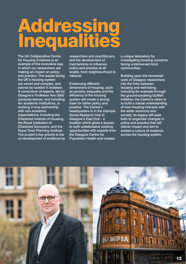## **Addressing Inequalities**

The UK Collaborative Centre for Housing Evidence is an example of the innovative way in which our researchers are making an impact on policy and practice. The issues facing the UK's housing system are varied and complex, and cannot be tackled in isolation. A consortium of experts, led by Glasgow's Professor Ken Gibb (pictured below), and including ten academic institutions, is working in true partnership with non-academic organisations, including the Chartered Institute of Housing, the Royal Institution of Chartered Surveyors, and the Royal Town Planning Institute. The project's key priority is the co-development of evidence by researchers and practitioners, and the development of mechanisms to influence policy and practice at all scales, from neighbourhood to national.

Evidencing different dimensions of housing, such as poverty, inequality and the efficiency of the housing system will create a strong base for better policy and practice. The Centre's headquarters is in the Olympia Social Research Hub in Glasgow's East End – a location which gives it access to both collaborative working opportunities with experts from the Glasgow Centre for Population Health and creates

a unique laboratory for investigating housing concerns facing underserved local communities.

Building upon the renowned work of Glasgow researchers into the links between housing and well-being, including for example through the ground-breaking GoWell initiative, the Centre's vision is to build a robust understanding of how housing interacts with the wider economy and society; its legacy will seek both to engender changes in policy and practice that will deliver impact and aim to embed a culture of evidence across the housing system.

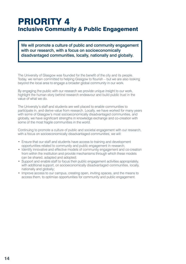## PRIORITY 4 Inclusive Community & Public Engagement

We will promote a culture of public and community engagement with our research, with a focus on socioeconomically disadvantaged communities, locally, nationally and globally.

The University of Glasgow was founded for the benefit of the city and its people. Today, we remain committed to helping Glasgow to flourish – but we are also looking beyond the local area to engage a broader global community in our work.

By engaging the public with our research we provide unique insight to our work, highlight the human story behind research endeavour and build public trust in the value of what we do.

The University's staff and students are well placed to enable communities to participate in, and derive value from research. Locally, we have worked for many years with some of Glasgow's most socioeconomically disadvantaged communities, and globally, we have significant strengths in knowledge exchange and co-creation with some of the most fragile communities in the world.

Continuing to promote a culture of public and societal engagement with our research, with a focus on socioeconomically disadvantaged communities, we will:

- Ensure that our staff and students have access to training and development opportunities related to community and public engagement in research;
- Identify innovative and effective models of community engagement and co-creation from within the institution and provide mechanisms through which these models can be shared, adapted and adopted;
- Support and enable staff to focus their public engagement activities appropriately, with additional support, on socioeconomically disadvantaged communities, locally, nationally and globally;
- Improve access to our campus, creating open, inviting spaces, and the means to access them, to optimise opportunities for community and public engagement.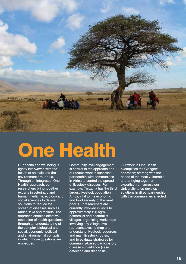

# One Health

Our health and wellbeing is tightly interwoven with the health of animals and the environment around us. Through an integrated 'One Health' approach, our researchers bring together experts in veterinary and human medicine, ecology and social sciences to devise solutions to reduce the spread of diseases such as rabies, zika and malaria. The approach enables effective resolution of health questions through an understanding of the complex biological and social, economic, political and environmental contexts in which those questions are embedded.

Community level engagement is central to the approach and our teams work in successful partnership with communities in Africa to control the spread of livestock diseases. For example, Tanzania has the third largest livestock population in Africa, vital to the economic and food security of the rural poor. Our researchers are currently involved in visits to approximately 120 agropastoralist and pastoralist villages, organising workshops involving key village-level representatives to map and understand livestock resources and main livestock routes, and to evaluate strategies for community-based participatory disease surveillance (case detection and diagnosis).

Our work in One Health exemplifies the Glasgow approach; starting with the needs of the most vulnerable, and bringing together expertise from across our University to co-develop solutions in direct partnership with the communities affected.